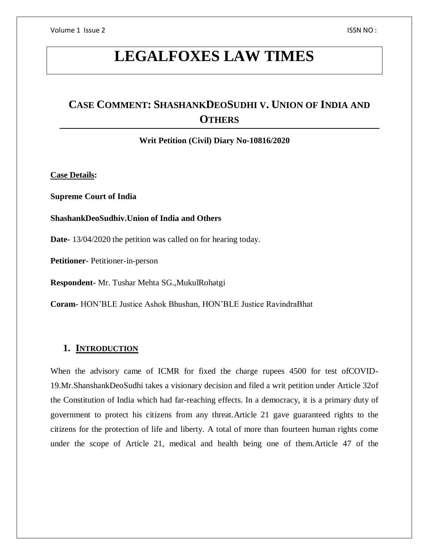# **LEGALFOXES LAW TIMES**

# **CASE COMMENT: SHASHANKDEOSUDHI V. UNION OF INDIA AND OTHERS**

**Writ Petition (Civil) Diary No-10816/2020**

**Case Details:**

**Supreme Court of India**

#### **ShashankDeoSudhiv.Union of India and Others**

**Date-** 13/04/2020 the petition was called on for hearing today.

**Petitioner-** Petitioner-in-person

**Respondent-** Mr. Tushar Mehta SG.,MukulRohatgi

**Coram-** HON'BLE Justice Ashok Bhushan, HON'BLE Justice RavindraBhat

#### **1. INTRODUCTION**

When the advisory came of ICMR for fixed the charge rupees 4500 for test ofCOVID-19.Mr.ShanshankDeoSudhi takes a visionary decision and filed a writ petition under Article 32of the Constitution of India which had far-reaching effects. In a democracy, it is a primary duty of government to protect his citizens from any threat.Article 21 gave guaranteed rights to the citizens for the protection of life and liberty. A total of more than fourteen human rights come under the scope of Article 21, medical and health being one of them.Article 47 of the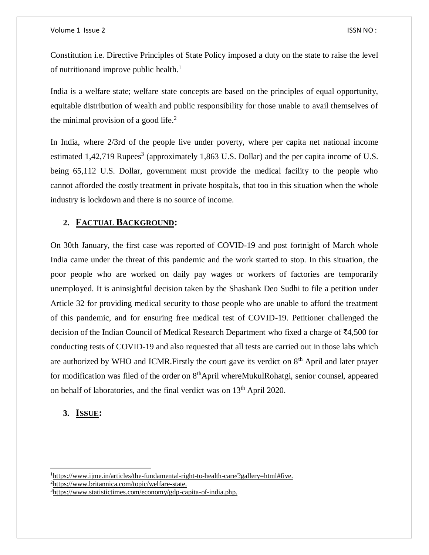Constitution i.e. Directive Principles of State Policy imposed a duty on the state to raise the level of nutritionand improve public health.<sup>1</sup>

India is a welfare state; welfare state concepts are based on the principles of equal opportunity, equitable distribution of wealth and public responsibility for those unable to avail themselves of the minimal provision of a good life. $<sup>2</sup>$ </sup>

In India, where 2/3rd of the people live under poverty, where per capita net national income estimated 1,42,719 Rupees<sup>3</sup> (approximately 1,863 U.S. Dollar) and the per capita income of U.S. being 65,112 U.S. Dollar, government must provide the medical facility to the people who cannot afforded the costly treatment in private hospitals, that too in this situation when the whole industry is lockdown and there is no source of income.

## **2. FACTUAL BACKGROUND:**

On 30th January, the first case was reported of COVID-19 and post fortnight of March whole India came under the threat of this pandemic and the work started to stop. In this situation, the poor people who are worked on daily pay wages or workers of factories are temporarily unemployed. It is aninsightful decision taken by the Shashank Deo Sudhi to file a petition under Article 32 for providing medical security to those people who are unable to afford the treatment of this pandemic, and for ensuring free medical test of COVID-19. Petitioner challenged the decision of the Indian Council of Medical Research Department who fixed a charge of ₹4,500 for conducting tests of COVID-19 and also requested that all tests are carried out in those labs which are authorized by WHO and ICMR. Firstly the court gave its verdict on  $8<sup>th</sup>$  April and later prayer for modification was filed of the order on  $8<sup>th</sup>$ April whereMukulRohatgi, senior counsel, appeared on behalf of laboratories, and the final verdict was on 13th April 2020.

## **3. ISSUE:**

 $\overline{a}$ 

<sup>1</sup>[https://www.ijme.in/articles/the-fundamental-right-to-health-care/?gallery=html#five.](https://www.ijme.in/articles/the-fundamental-right-to-health-care/?gallery=html#five) <sup>2</sup>[https://www.britannica.com/topic/welfare-state.](https://www.britannica.com/topic/welfare-state)

<sup>3</sup>[https://www.statistictimes.com/economy/gdp-capita-of-india.php.](https://www.statistictimes.com/economy/gdp-capita-of-india.php)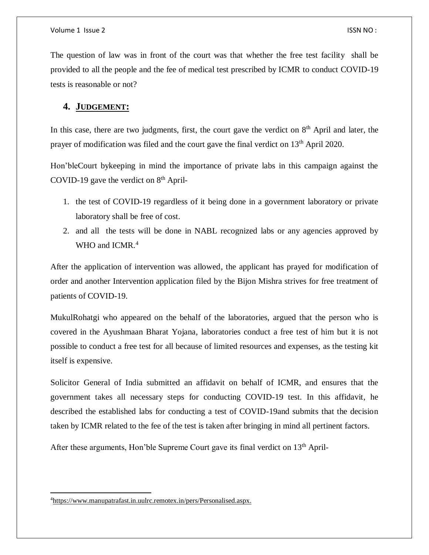The question of law was in front of the court was that whether the free test facility shall be provided to all the people and the fee of medical test prescribed by ICMR to conduct COVID-19 tests is reasonable or not?

#### **4. JUDGEMENT:**

In this case, there are two judgments, first, the court gave the verdict on  $8<sup>th</sup>$  April and later, the prayer of modification was filed and the court gave the final verdict on 13<sup>th</sup> April 2020.

Hon'bleCourt bykeeping in mind the importance of private labs in this campaign against the COVID-19 gave the verdict on  $8<sup>th</sup>$  April-

- 1. the test of COVID-19 regardless of it being done in a government laboratory or private laboratory shall be free of cost.
- 2. and all the tests will be done in NABL recognized labs or any agencies approved by WHO and ICMR.<sup>4</sup>

After the application of intervention was allowed, the applicant has prayed for modification of order and another Intervention application filed by the Bijon Mishra strives for free treatment of patients of COVID-19.

MukulRohatgi who appeared on the behalf of the laboratories, argued that the person who is covered in the Ayushmaan Bharat Yojana, laboratories conduct a free test of him but it is not possible to conduct a free test for all because of limited resources and expenses, as the testing kit itself is expensive.

Solicitor General of India submitted an affidavit on behalf of ICMR, and ensures that the government takes all necessary steps for conducting COVID-19 test. In this affidavit, he described the established labs for conducting a test of COVID-19and submits that the decision taken by ICMR related to the fee of the test is taken after bringing in mind all pertinent factors.

After these arguments, Hon'ble Supreme Court gave its final verdict on 13<sup>th</sup> April-

 $\overline{a}$ 

<sup>4</sup>[https://www.manupatrafast.in.uulrc.remotex.in/pers/Personalised.aspx.](https://www.manupatrafast.in.uulrc.remotex.in/pers/Personalised.aspx)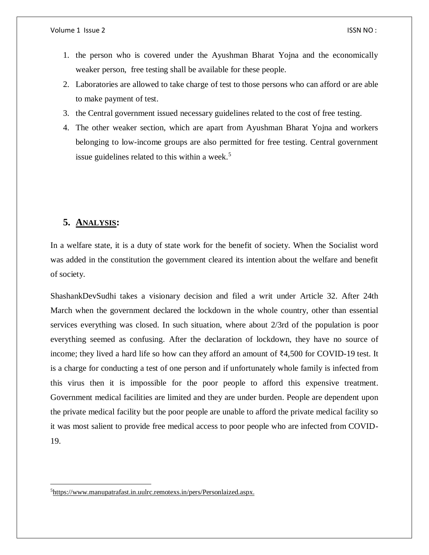- 1. the person who is covered under the Ayushman Bharat Yojna and the economically weaker person, free testing shall be available for these people.
- 2. Laboratories are allowed to take charge of test to those persons who can afford or are able to make payment of test.
- 3. the Central government issued necessary guidelines related to the cost of free testing.
- 4. The other weaker section, which are apart from Ayushman Bharat Yojna and workers belonging to low-income groups are also permitted for free testing. Central government issue guidelines related to this within a week.<sup>5</sup>

## **5. ANALYSIS:**

 $\overline{\phantom{a}}$ 

In a welfare state, it is a duty of state work for the benefit of society. When the Socialist word was added in the constitution the government cleared its intention about the welfare and benefit of society.

ShashankDevSudhi takes a visionary decision and filed a writ under Article 32. After 24th March when the government declared the lockdown in the whole country, other than essential services everything was closed. In such situation, where about 2/3rd of the population is poor everything seemed as confusing. After the declaration of lockdown, they have no source of income; they lived a hard life so how can they afford an amount of ₹4,500 for COVID-19 test. It is a charge for conducting a test of one person and if unfortunately whole family is infected from this virus then it is impossible for the poor people to afford this expensive treatment. Government medical facilities are limited and they are under burden. People are dependent upon the private medical facility but the poor people are unable to afford the private medical facility so it was most salient to provide free medical access to poor people who are infected from COVID-19.

<sup>5</sup>[https://www.manupatrafast.in.uulrc.remotexs.in/pers/Personlaized.aspx.](https://www.manupatrafast.in.uulrc.remotexs.in/pers/Personlaized.aspx)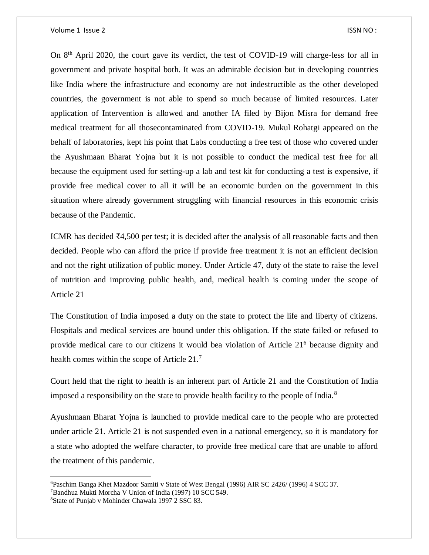On 8th April 2020, the court gave its verdict, the test of COVID-19 will charge-less for all in government and private hospital both. It was an admirable decision but in developing countries like India where the infrastructure and economy are not indestructible as the other developed countries, the government is not able to spend so much because of limited resources. Later application of Intervention is allowed and another IA filed by Bijon Misra for demand free medical treatment for all thosecontaminated from COVID-19. Mukul Rohatgi appeared on the behalf of laboratories, kept his point that Labs conducting a free test of those who covered under the Ayushmaan Bharat Yojna but it is not possible to conduct the medical test free for all because the equipment used for setting-up a lab and test kit for conducting a test is expensive, if provide free medical cover to all it will be an economic burden on the government in this situation where already government struggling with financial resources in this economic crisis because of the Pandemic.

ICMR has decided ₹4,500 per test; it is decided after the analysis of all reasonable facts and then decided. People who can afford the price if provide free treatment it is not an efficient decision and not the right utilization of public money. Under Article 47, duty of the state to raise the level of nutrition and improving public health, and, medical health is coming under the scope of Article 21

The Constitution of India imposed a duty on the state to protect the life and liberty of citizens. Hospitals and medical services are bound under this obligation. If the state failed or refused to provide medical care to our citizens it would bea violation of Article 21<sup>6</sup> because dignity and health comes within the scope of Article 21.<sup>7</sup>

Court held that the right to health is an inherent part of Article 21 and the Constitution of India imposed a responsibility on the state to provide health facility to the people of India.<sup>8</sup>

Ayushmaan Bharat Yojna is launched to provide medical care to the people who are protected under article 21. Article 21 is not suspended even in a national emergency, so it is mandatory for a state who adopted the welfare character, to provide free medical care that are unable to afford the treatment of this pandemic.

 $\overline{a}$ 

<sup>6</sup>Paschim Banga Khet Mazdoor Samiti v State of West Bengal (1996) AIR SC 2426/ (1996) 4 SCC 37.

<sup>7</sup>Bandhua Mukti Morcha V Union of India (1997) 10 SCC 549.

<sup>8</sup>State of Punjab v Mohinder Chawala 1997 2 SSC 83.